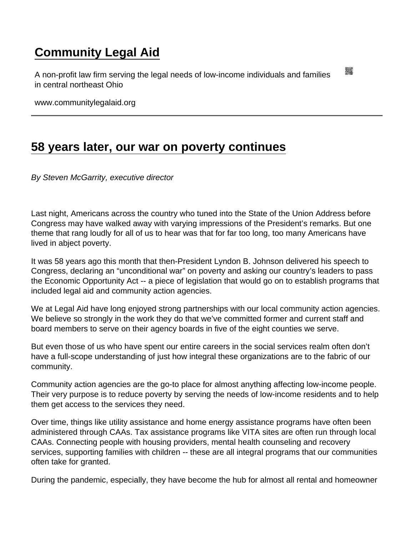## [Community Legal Aid](https://www.communitylegalaid.org/)

A non-profit law firm serving the legal needs of low-income individuals and families in central northeast Ohio

www.communitylegalaid.org

## [58 years later, our war on poverty continues](https://www.communitylegalaid.org/node/1676/58-years-later-our-war-poverty-continues)

By Steven McGarrity, executive director

Last night, Americans across the country who tuned into the State of the Union Address before Congress may have walked away with varying impressions of the President's remarks. But one theme that rang loudly for all of us to hear was that for far too long, too many Americans have lived in abject poverty.

It was 58 years ago this month that then-President Lyndon B. Johnson delivered his speech to Congress, declaring an "unconditional war" on poverty and asking our country's leaders to pass the Economic Opportunity Act -- a piece of legislation that would go on to establish programs that included legal aid and community action agencies.

We at Legal Aid have long enjoyed strong partnerships with our local community action agencies. We believe so strongly in the work they do that we've committed former and current staff and board members to serve on their agency boards in five of the eight counties we serve.

But even those of us who have spent our entire careers in the social services realm often don't have a full-scope understanding of just how integral these organizations are to the fabric of our community.

Community action agencies are the go-to place for almost anything affecting low-income people. Their very purpose is to reduce poverty by serving the needs of low-income residents and to help them get access to the services they need.

Over time, things like utility assistance and home energy assistance programs have often been administered through CAAs. Tax assistance programs like VITA sites are often run through local CAAs. Connecting people with housing providers, mental health counseling and recovery services, supporting families with children -- these are all integral programs that our communities often take for granted.

During the pandemic, especially, they have become the hub for almost all rental and homeowner